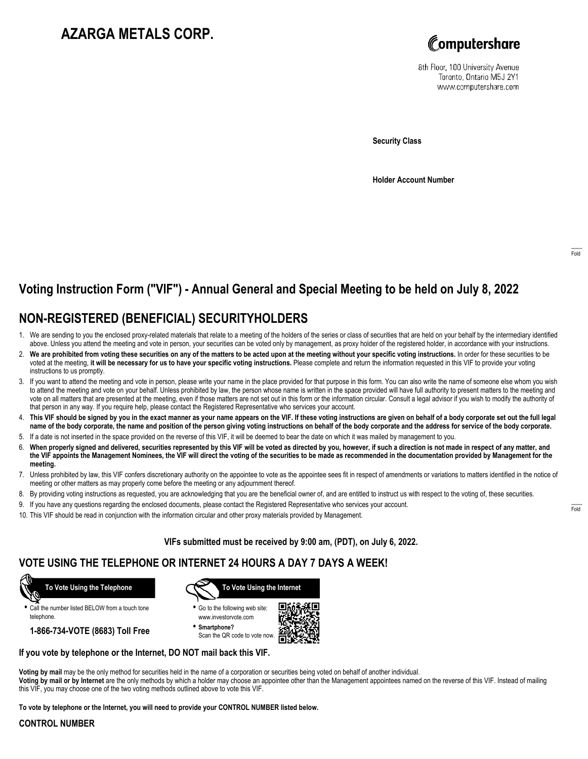# **AZARGA METALS CORP.**



8th Floor, 100 University Avenue Toronto, Ontario M5J 2Y1 www.computershare.com

**Security Class**

**Holder Account Number**

# **Voting Instruction Form ("VIF") - Annual General and Special Meeting to be held on July 8, 2022**

## **NON-REGISTERED (BENEFICIAL) SECURITYHOLDERS**

- 1. We are sending to you the enclosed proxy-related materials that relate to a meeting of the holders of the series or class of securities that are held on your behalf by the intermediary identified above. Unless you attend the meeting and vote in person, your securities can be voted only by management, as proxy holder of the registered holder, in accordance with your instructions.
- 2. **We are prohibited from voting these securities on any of the matters to be acted upon at the meeting without your specific voting instructions.** In order for these securities to be voted at the meeting, **it will be necessary for us to have your specific voting instructions.** Please complete and return the information requested in this VIF to provide your voting instructions to us promptly.
- 3. If you want to attend the meeting and vote in person, please write your name in the place provided for that purpose in this form. You can also write the name of someone else whom you wish to attend the meeting and vote on your behalf. Unless prohibited by law, the person whose name is written in the space provided will have full authority to present matters to the meeting and vote on all matters that are presented at the meeting, even if those matters are not set out in this form or the information circular. Consult a legal advisor if you wish to modify the authority of that person in any way. If you require help, please contact the Registered Representative who services your account.
- 4. **This VIF should be signed by you in the exact manner as your name appears on the VIF. If these voting instructions are given on behalf of a body corporate set out the full legal name of the body corporate, the name and position of the person giving voting instructions on behalf of the body corporate and the address for service of the body corporate.**
- 5. If a date is not inserted in the space provided on the reverse of this VIF, it will be deemed to bear the date on which it was mailed by management to you.
- 6. **When properly signed and delivered, securities represented by this VIF will be voted as directed by you, however, if such a direction is not made in respect of any matter, and the VIF appoints the Management Nominees, the VIF will direct the voting of the securities to be made as recommended in the documentation provided by Management for the meeting.**
- 7. Unless prohibited by law, this VIF confers discretionary authority on the appointee to vote as the appointee sees fit in respect of amendments or variations to matters identified in the notice of meeting or other matters as may properly come before the meeting or any adjournment thereof.
- 8. By providing voting instructions as requested, you are acknowledging that you are the beneficial owner of, and are entitled to instruct us with respect to the voting of, these securities.
- 9. If you have any questions regarding the enclosed documents, please contact the Registered Representative who services your account.
- 10. This VIF should be read in conjunction with the information circular and other proxy materials provided by Management.

**VIFs submitted must be received by 9:00 am, (PDT), on July 6, 2022.**

### **VOTE USING THE TELEPHONE OR INTERNET 24 HOURS A DAY 7 DAYS A WEEK!**



**•** Call the number listed BELOW from a touch tone telephone.

**1-866-734-VOTE (8683) Toll Free**



**•** Go to the following web site: www.investorvote.com

**• Smartphone?** Scan the QR code to vote now.



### **If you vote by telephone or the Internet, DO NOT mail back this VIF.**

**Voting by mail** may be the only method for securities held in the name of a corporation or securities being voted on behalf of another individual. **Voting by mail or by Internet** are the only methods by which a holder may choose an appointee other than the Management appointees named on the reverse of this VIF. Instead of mailing this VIF, you may choose one of the two voting methods outlined above to vote this VIF.

**To vote by telephone or the Internet, you will need to provide your CONTROL NUMBER listed below.**

#### **CONTROL NUMBER**